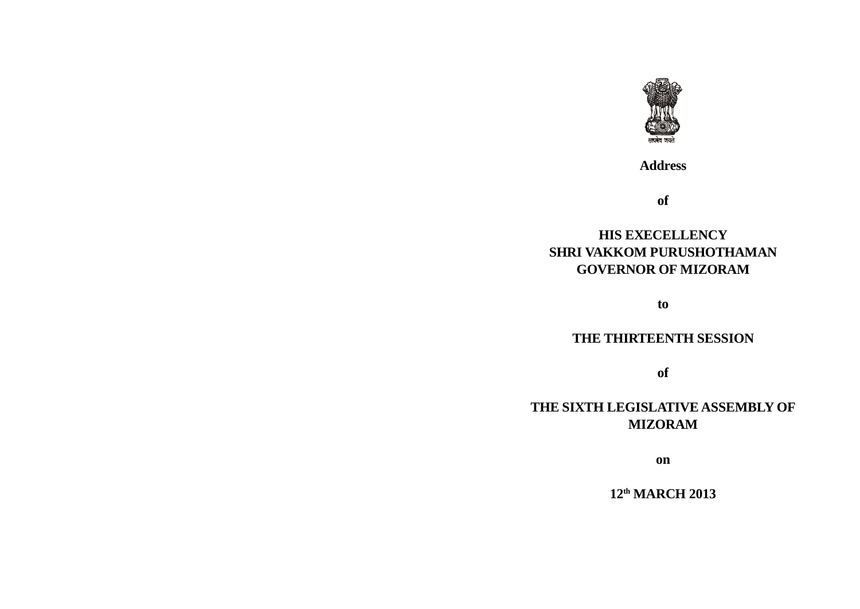

**Address**

**of**

## **HIS EXECELLENCY SHRI VAKKOM PURUSHOTHAMAN GOVERNOR OF MIZORAM**

**to**

## **THE THIRTEENTH SESSION**

**of**

## **THE SIXTH LEGISLATIVE ASSEMBLY OF MIZORAM**

**on**

**12th MARCH 2013**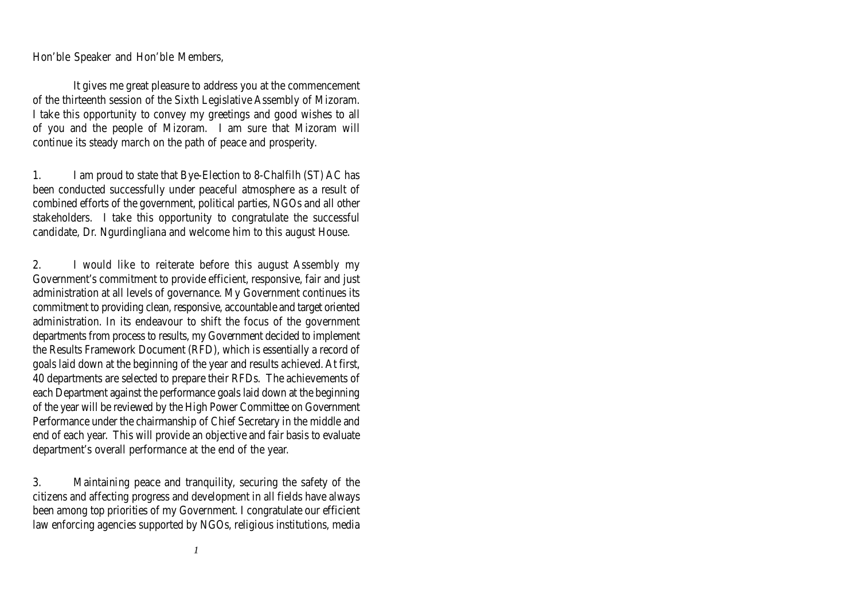Hon'ble Speaker and Hon'ble Members,

It gives me great pleasure to address you at the commencement of the thirteenth session of the Sixth Legislative Assembly of Mizoram. I take this opportunity to convey my greetings and good wishes to all of you and the people of Mizoram. I am sure that Mizoram will continue its steady march on the path of peace and prosperity.

1. I am proud to state that Bye-Election to 8-Chalfilh (ST) AC has been conducted successfully under peaceful atmosphere as a result of combined efforts of the government, political parties, NGOs and all other stakeholders. I take this opportunity to congratulate the successful candidate, Dr. Ngurdingliana and welcome him to this august House.

2. I would like to reiterate before this august Assembly my Government's commitment to provide efficient, responsive, fair and just administration at all levels of governance. My Government continues its commitment to providing clean, responsive, accountable and target oriented administration. In its endeavour to shift the focus of the government departments from process to results, my Government decided to implement the Results Framework Document (RFD), which is essentially a record of goals laid down at the beginning of the year and results achieved. At first, 40 departments are selected to prepare their RFDs. The achievements of each Department against the performance goals laid down at the beginning of the year will be reviewed by the High Power Committee on Government Performance under the chairmanship of Chief Secretary in the middle and end of each year. This will provide an objective and fair basis to evaluate department's overall performance at the end of the year.

3. Maintaining peace and tranquility, securing the safety of the citizens and affecting progress and development in all fields have always been among top priorities of my Government. I congratulate our efficient law enforcing agencies supported by NGOs, religious institutions, media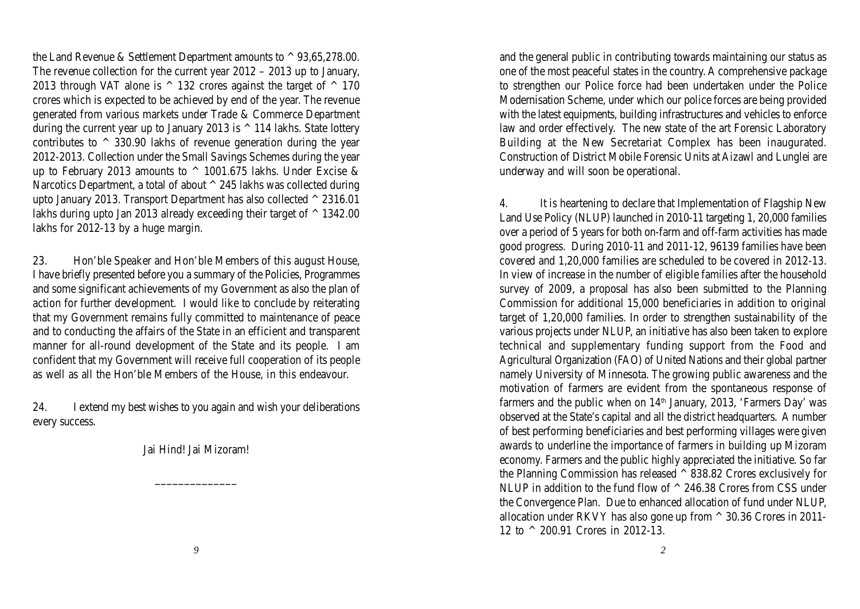the Land Revenue & Settlement Department amounts to ^ 93,65,278.00. The revenue collection for the current year 2012 – 2013 up to January, 2013 through VAT alone is  $\land$  132 crores against the target of  $\land$  170 crores which is expected to be achieved by end of the year. The revenue generated from various markets under Trade & Commerce Department during the current year up to January 2013 is ^ 114 lakhs. State lottery contributes to  $\land$  330.90 lakhs of revenue generation during the year 2012-2013. Collection under the Small Savings Schemes during the year up to February 2013 amounts to  $\land$  1001.675 lakhs. Under Excise & Narcotics Department, a total of about ^ 245 lakhs was collected during upto January 2013. Transport Department has also collected ^ 2316.01 lakhs during upto Jan 2013 already exceeding their target of ^ 1342.00 lakhs for 2012-13 by a huge margin.

23. Hon'ble Speaker and Hon'ble Members of this august House, I have briefly presented before you a summary of the Policies, Programmes and some significant achievements of my Government as also the plan of action for further development. I would like to conclude by reiterating that my Government remains fully committed to maintenance of peace and to conducting the affairs of the State in an efficient and transparent manner for all-round development of the State and its people. I am confident that my Government will receive full cooperation of its people as well as all the Hon'ble Members of the House, in this endeavour.

24. I extend my best wishes to you again and wish your deliberations every success.

Jai Hind! Jai Mizoram!

\_\_\_\_\_\_\_\_\_\_\_\_\_\_

and the general public in contributing towards maintaining our status as one of the most peaceful states in the country. A comprehensive package to strengthen our Police force had been undertaken under the Police Modernisation Scheme, under which our police forces are being provided with the latest equipments, building infrastructures and vehicles to enforce law and order effectively. The new state of the art Forensic Laboratory Building at the New Secretariat Complex has been inaugurated. Construction of District Mobile Forensic Units at Aizawl and Lunglei are underway and will soon be operational.

4. It is heartening to declare that Implementation of Flagship New Land Use Policy (NLUP) launched in 2010-11 targeting 1, 20,000 families over a period of 5 years for both on-farm and off-farm activities has made good progress. During 2010-11 and 2011-12, 96139 families have been covered and 1,20,000 families are scheduled to be covered in 2012-13. In view of increase in the number of eligible families after the household survey of 2009, a proposal has also been submitted to the Planning Commission for additional 15,000 beneficiaries in addition to original target of 1,20,000 families. In order to strengthen sustainability of the various projects under NLUP, an initiative has also been taken to explore technical and supplementary funding support from the Food and Agricultural Organization (FAO) of United Nations and their global partner namely University of Minnesota. The growing public awareness and the motivation of farmers are evident from the spontaneous response of farmers and the public when on  $14<sup>th</sup>$  January, 2013, 'Farmers Day' was observed at the State's capital and all the district headquarters. A number of best performing beneficiaries and best performing villages were given awards to underline the importance of farmers in building up Mizoram economy. Farmers and the public highly appreciated the initiative. So far the Planning Commission has released ^ 838.82 Crores exclusively for NLUP in addition to the fund flow of  $\land$  246.38 Crores from CSS under the Convergence Plan. Due to enhanced allocation of fund under NLUP, allocation under RKVY has also gone up from ^ 30.36 Crores in 2011- 12 to ^ 200.91 Crores in 2012-13.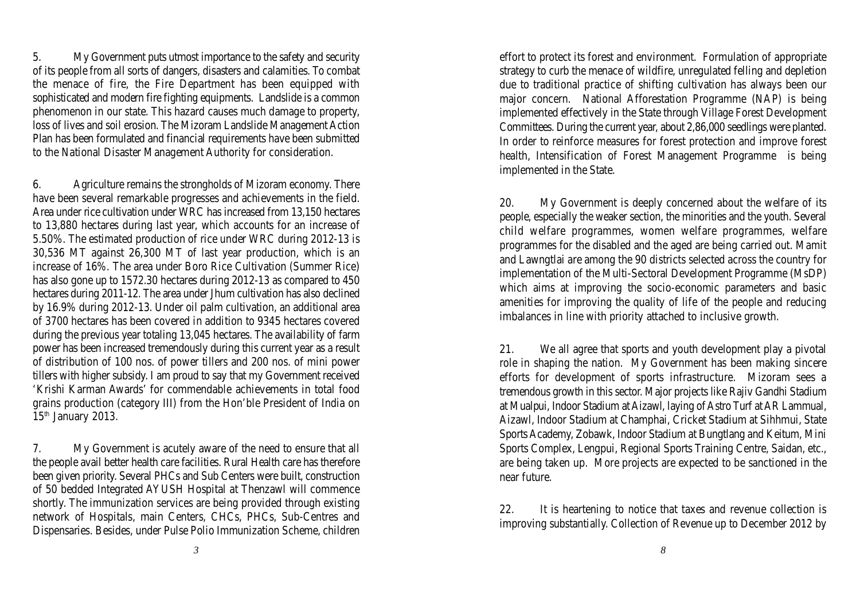5. My Government puts utmost importance to the safety and security of its people from all sorts of dangers, disasters and calamities. To combat the menace of fire, the Fire Department has been equipped with sophisticated and modern fire fighting equipments. Landslide is a common phenomenon in our state. This hazard causes much damage to property, loss of lives and soil erosion. The Mizoram Landslide Management Action Plan has been formulated and financial requirements have been submitted to the National Disaster Management Authority for consideration.

6. Agriculture remains the strongholds of Mizoram economy. There have been several remarkable progresses and achievements in the field. Area under rice cultivation under WRC has increased from 13,150 hectares to 13,880 hectares during last year, which accounts for an increase of 5.50%. The estimated production of rice under WRC during 2012-13 is 30,536 MT against 26,300 MT of last year production, which is an increase of 16%. The area under Boro Rice Cultivation (Summer Rice) has also gone up to 1572.30 hectares during 2012-13 as compared to 450 hectares during 2011-12. The area under Jhum cultivation has also declined by 16.9% during 2012-13. Under oil palm cultivation, an additional area of 3700 hectares has been covered in addition to 9345 hectares covered during the previous year totaling 13,045 hectares. The availability of farm power has been increased tremendously during this current year as a result of distribution of 100 nos. of power tillers and 200 nos. of mini power tillers with higher subsidy. I am proud to say that my Government received 'Krishi Karman Awards' for commendable achievements in total food grains production (category III) from the Hon'ble President of India on 15<sup>th</sup> January 2013.

7. My Government is acutely aware of the need to ensure that all the people avail better health care facilities. Rural Health care has therefore been given priority. Several PHCs and Sub Centers were built, construction of 50 bedded Integrated AYUSH Hospital at Thenzawl will commence shortly. The immunization services are being provided through existing network of Hospitals, main Centers, CHCs, PHCs, Sub-Centres and Dispensaries. Besides, under Pulse Polio Immunization Scheme, children effort to protect its forest and environment. Formulation of appropriate strategy to curb the menace of wildfire, unregulated felling and depletion due to traditional practice of shifting cultivation has always been our major concern. National Afforestation Programme (NAP) is being implemented effectively in the State through Village Forest Development Committees. During the current year, about 2,86,000 seedlings were planted. In order to reinforce measures for forest protection and improve forest health, Intensification of Forest Management Programme is being implemented in the State.

20. My Government is deeply concerned about the welfare of its people, especially the weaker section, the minorities and the youth. Several child welfare programmes, women welfare programmes, welfare programmes for the disabled and the aged are being carried out. Mamit and Lawngtlai are among the 90 districts selected across the country for implementation of the Multi-Sectoral Development Programme (MsDP) which aims at improving the socio-economic parameters and basic amenities for improving the quality of life of the people and reducing imbalances in line with priority attached to inclusive growth.

21. We all agree that sports and youth development play a pivotal role in shaping the nation. My Government has been making sincere efforts for development of sports infrastructure. Mizoram sees a tremendous growth in this sector. Major projects like Rajiv Gandhi Stadium at Mualpui, Indoor Stadium at Aizawl, laying of Astro Turf at AR Lammual, Aizawl, Indoor Stadium at Champhai, Cricket Stadium at Sihhmui, State Sports Academy, Zobawk, Indoor Stadium at Bungtlang and Keitum, Mini Sports Complex, Lengpui, Regional Sports Training Centre, Saidan, etc., are being taken up. More projects are expected to be sanctioned in the near future.

22. It is heartening to notice that taxes and revenue collection is improving substantially. Collection of Revenue up to December 2012 by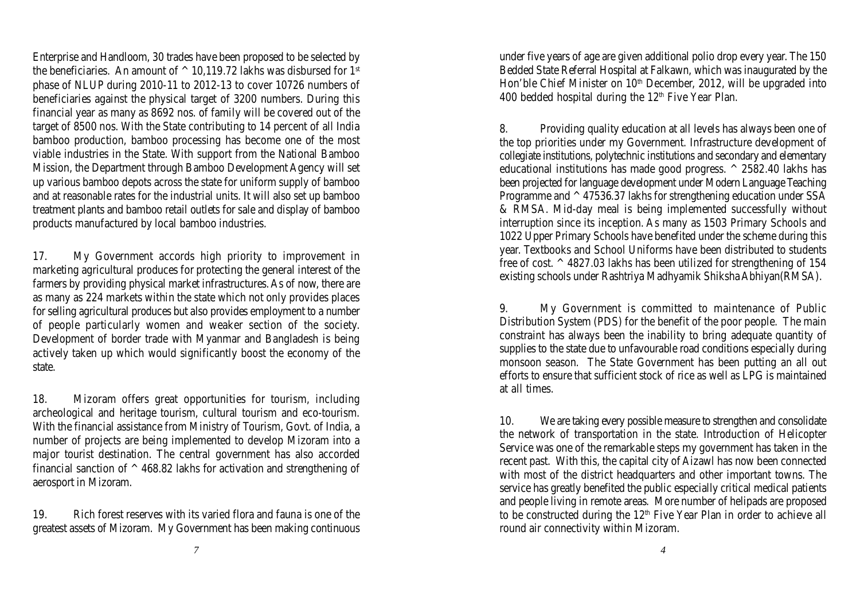Enterprise and Handloom, 30 trades have been proposed to be selected by the beneficiaries. An amount of  $\wedge$  10,119.72 lakhs was disbursed for 1<sup>st</sup> phase of NLUP during 2010-11 to 2012-13 to cover 10726 numbers of beneficiaries against the physical target of 3200 numbers. During this financial year as many as 8692 nos. of family will be covered out of the target of 8500 nos. With the State contributing to 14 percent of all India bamboo production, bamboo processing has become one of the most viable industries in the State. With support from the National Bamboo Mission, the Department through Bamboo Development Agency will set up various bamboo depots across the state for uniform supply of bamboo and at reasonable rates for the industrial units. It will also set up bamboo treatment plants and bamboo retail outlets for sale and display of bamboo products manufactured by local bamboo industries.

17. My Government accords high priority to improvement in marketing agricultural produces for protecting the general interest of the farmers by providing physical market infrastructures. As of now, there are as many as 224 markets within the state which not only provides places for selling agricultural produces but also provides employment to a number of people particularly women and weaker section of the society. Development of border trade with Myanmar and Bangladesh is being actively taken up which would significantly boost the economy of the state.

18. Mizoram offers great opportunities for tourism, including archeological and heritage tourism, cultural tourism and eco-tourism. With the financial assistance from Ministry of Tourism, Govt. of India, a number of projects are being implemented to develop Mizoram into a major tourist destination. The central government has also accorded financial sanction of ^ 468.82 lakhs for activation and strengthening of aerosport in Mizoram.

19. Rich forest reserves with its varied flora and fauna is one of the greatest assets of Mizoram. My Government has been making continuous under five years of age are given additional polio drop every year. The 150 Bedded State Referral Hospital at Falkawn, which was inaugurated by the Hon'ble Chief Minister on 10<sup>th</sup> December, 2012, will be upgraded into 400 bedded hospital during the  $12<sup>th</sup>$  Five Year Plan.

8. Providing quality education at all levels has always been one of the top priorities under my Government. Infrastructure development of collegiate institutions, polytechnic institutions and secondary and elementary educational institutions has made good progress. ^ 2582.40 lakhs has been projected for language development under Modern Language Teaching Programme and  $\land$  47536.37 lakhs for strengthening education under SSA & RMSA. Mid-day meal is being implemented successfully without interruption since its inception. As many as 1503 Primary Schools and 1022 Upper Primary Schools have benefited under the scheme during this year. Textbooks and School Uniforms have been distributed to students free of cost. ^ 4827.03 lakhs has been utilized for strengthening of 154 existing schools under Rashtriya Madhyamik Shiksha Abhiyan(RMSA).

9. My Government is committed to maintenance of Public Distribution System (PDS) for the benefit of the poor people. The main constraint has always been the inability to bring adequate quantity of supplies to the state due to unfavourable road conditions especially during monsoon season. The State Government has been putting an all out efforts to ensure that sufficient stock of rice as well as LPG is maintained at all times.

10. We are taking every possible measure to strengthen and consolidate the network of transportation in the state. Introduction of Helicopter Service was one of the remarkable steps my government has taken in the recent past. With this, the capital city of Aizawl has now been connected with most of the district headquarters and other important towns. The service has greatly benefited the public especially critical medical patients and people living in remote areas. More number of helipads are proposed to be constructed during the 12<sup>th</sup> Five Year Plan in order to achieve all round air connectivity within Mizoram.